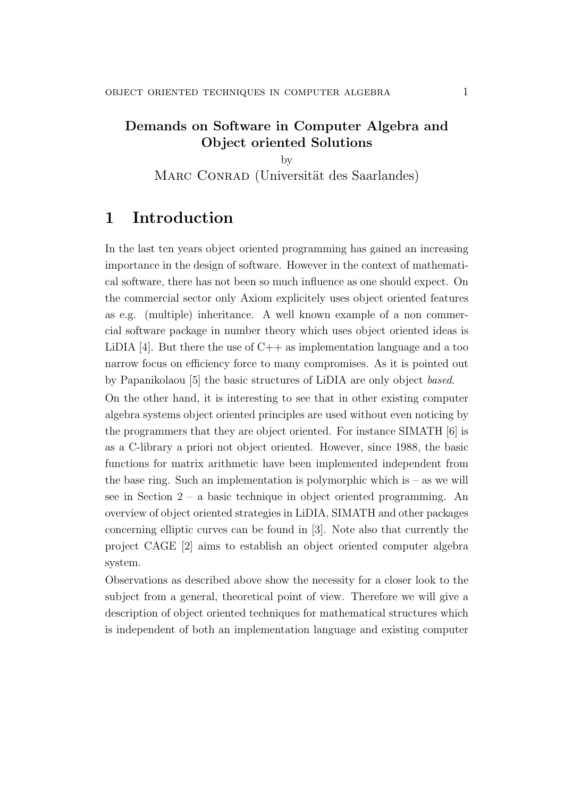## Demands on Software in Computer Algebra and Object oriented Solutions

by MARC CONRAD (Universität des Saarlandes)

## 1 Introduction

In the last ten years object oriented programming has gained an increasing importance in the design of software. However in the context of mathematical software, there has not been so much influence as one should expect. On the commercial sector only Axiom explicitely uses object oriented features as e.g. (multiple) inheritance. A well known example of a non commercial software package in number theory which uses object oriented ideas is LiDIA [4]. But there the use of  $C_{++}$  as implementation language and a too narrow focus on efficiency force to many compromises. As it is pointed out by Papanikolaou [5] the basic structures of LiDIA are only object based.

On the other hand, it is interesting to see that in other existing computer algebra systems object oriented principles are used without even noticing by the programmers that they are object oriented. For instance SIMATH [6] is as a C-library a priori not object oriented. However, since 1988, the basic functions for matrix arithmetic have been implemented independent from the base ring. Such an implementation is polymorphic which is  $-$  as we will see in Section 2 – a basic technique in object oriented programming. An overview of object oriented strategies in LiDIA, SIMATH and other packages concerning elliptic curves can be found in [3]. Note also that currently the project CAGE [2] aims to establish an object oriented computer algebra system.

Observations as described above show the necessity for a closer look to the subject from a general, theoretical point of view. Therefore we will give a description of object oriented techniques for mathematical structures which is independent of both an implementation language and existing computer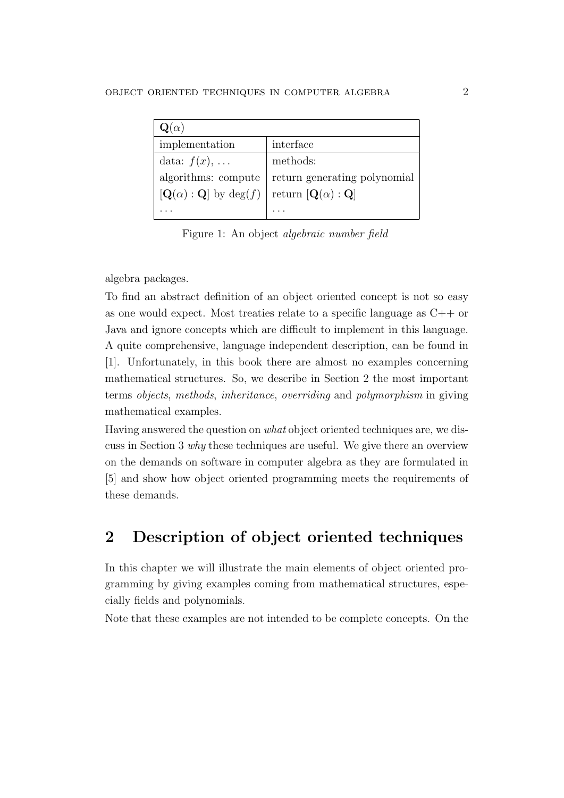| $\mathbf{Q}(\alpha)$                           |                                      |
|------------------------------------------------|--------------------------------------|
| implementation                                 | interface                            |
| data: $f(x), \ldots$                           | methods:                             |
| algorithms: compute                            | return generating polynomial         |
| $[\mathbf{Q}(\alpha):\mathbf{Q}]$ by $\deg(f)$ | return $[{\bf Q}(\alpha) : {\bf Q}]$ |
|                                                |                                      |

Figure 1: An object algebraic number field

algebra packages.

To find an abstract definition of an object oriented concept is not so easy as one would expect. Most treaties relate to a specific language as  $C_{++}$  or Java and ignore concepts which are difficult to implement in this language. A quite comprehensive, language independent description, can be found in [1]. Unfortunately, in this book there are almost no examples concerning mathematical structures. So, we describe in Section 2 the most important terms objects, methods, inheritance, overriding and polymorphism in giving mathematical examples.

Having answered the question on what object oriented techniques are, we discuss in Section 3 why these techniques are useful. We give there an overview on the demands on software in computer algebra as they are formulated in [5] and show how object oriented programming meets the requirements of these demands.

# 2 Description of object oriented techniques

In this chapter we will illustrate the main elements of object oriented programming by giving examples coming from mathematical structures, especially fields and polynomials.

Note that these examples are not intended to be complete concepts. On the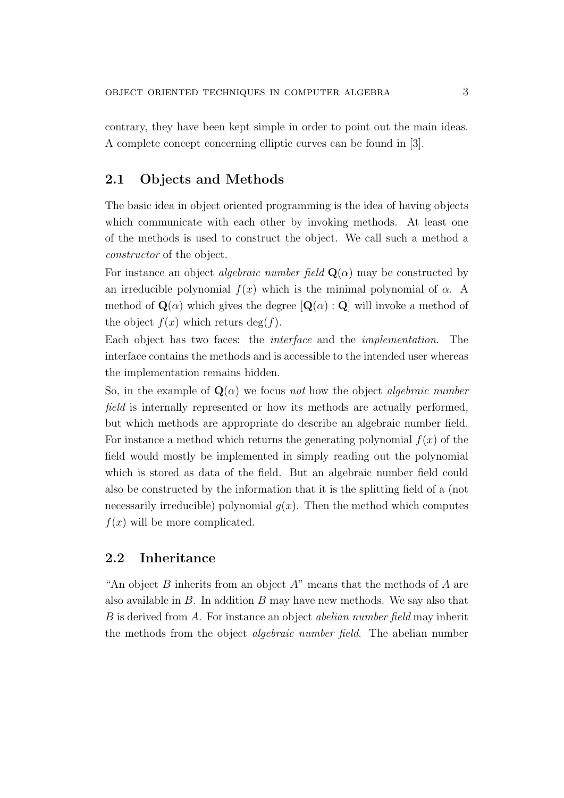contrary, they have been kept simple in order to point out the main ideas. A complete concept concerning elliptic curves can be found in [3].

#### 2.1 Objects and Methods

The basic idea in object oriented programming is the idea of having objects which communicate with each other by invoking methods. At least one of the methods is used to construct the object. We call such a method a constructor of the object.

For instance an object *algebraic number field*  $\mathbf{Q}(\alpha)$  may be constructed by an irreducible polynomial  $f(x)$  which is the minimal polynomial of  $\alpha$ . A method of  $\mathbf{Q}(\alpha)$  which gives the degree  $[\mathbf{Q}(\alpha):\mathbf{Q}]$  will invoke a method of the object  $f(x)$  which returs deg(f).

Each object has two faces: the interface and the implementation. The interface contains the methods and is accessible to the intended user whereas the implementation remains hidden.

So, in the example of  $\mathbf{Q}(\alpha)$  we focus not how the object algebraic number field is internally represented or how its methods are actually performed, but which methods are appropriate do describe an algebraic number field. For instance a method which returns the generating polynomial  $f(x)$  of the field would mostly be implemented in simply reading out the polynomial which is stored as data of the field. But an algebraic number field could also be constructed by the information that it is the splitting field of a (not necessarily irreducible) polynomial  $g(x)$ . Then the method which computes  $f(x)$  will be more complicated.

### 2.2 Inheritance

"An object  $B$  inherits from an object  $A$ " means that the methods of  $A$  are also available in  $B$ . In addition  $B$  may have new methods. We say also that B is derived from A. For instance an object abelian number field may inherit the methods from the object *algebraic number field*. The abelian number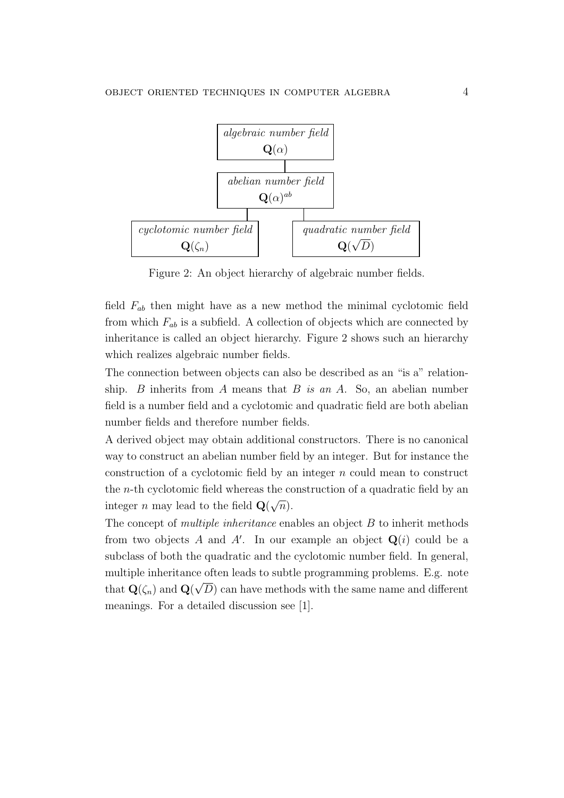

Figure 2: An object hierarchy of algebraic number fields.

field  $F_{ab}$  then might have as a new method the minimal cyclotomic field from which  $F_{ab}$  is a subfield. A collection of objects which are connected by inheritance is called an object hierarchy. Figure 2 shows such an hierarchy which realizes algebraic number fields.

The connection between objects can also be described as an "is a" relationship. B inherits from A means that B is an A. So, an abelian number field is a number field and a cyclotomic and quadratic field are both abelian number fields and therefore number fields.

A derived object may obtain additional constructors. There is no canonical way to construct an abelian number field by an integer. But for instance the construction of a cyclotomic field by an integer  $n$  could mean to construct the n-th cyclotomic field whereas the construction of a quadratic field by an integer n may lead to the field  $\mathbf{Q}$ √  $\overline{n}).$ 

The concept of *multiple inheritance* enables an object B to inherit methods from two objects A and A'. In our example an object  $\mathbf{Q}(i)$  could be a subclass of both the quadratic and the cyclotomic number field. In general, multiple inheritance often leads to subtle programming problems. E.g. note that  $\mathbf{Q}(\zeta_n)$  and  $\mathbf{Q}(\sqrt{D})$  can have methods with the same name and different meanings. For a detailed discussion see [1].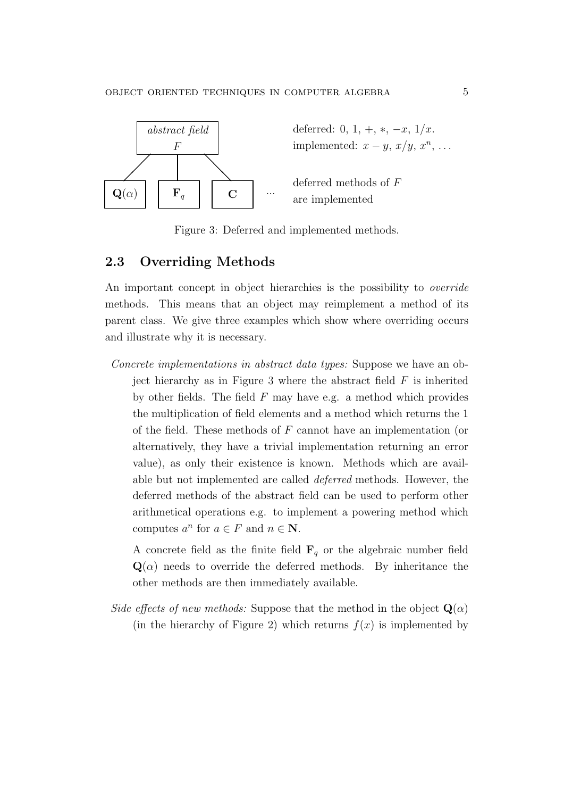

Figure 3: Deferred and implemented methods.

#### 2.3 Overriding Methods

An important concept in object hierarchies is the possibility to *override* methods. This means that an object may reimplement a method of its parent class. We give three examples which show where overriding occurs and illustrate why it is necessary.

Concrete implementations in abstract data types: Suppose we have an object hierarchy as in Figure 3 where the abstract field  $F$  is inherited by other fields. The field  $F$  may have e.g. a method which provides the multiplication of field elements and a method which returns the 1 of the field. These methods of  $F$  cannot have an implementation (or alternatively, they have a trivial implementation returning an error value), as only their existence is known. Methods which are available but not implemented are called deferred methods. However, the deferred methods of the abstract field can be used to perform other arithmetical operations e.g. to implement a powering method which computes  $a^n$  for  $a \in F$  and  $n \in \mathbb{N}$ .

A concrete field as the finite field  $\mathbf{F}_q$  or the algebraic number field  $\mathbf{Q}(\alpha)$  needs to override the deferred methods. By inheritance the other methods are then immediately available.

Side effects of new methods: Suppose that the method in the object  $\mathbf{Q}(\alpha)$ (in the hierarchy of Figure 2) which returns  $f(x)$  is implemented by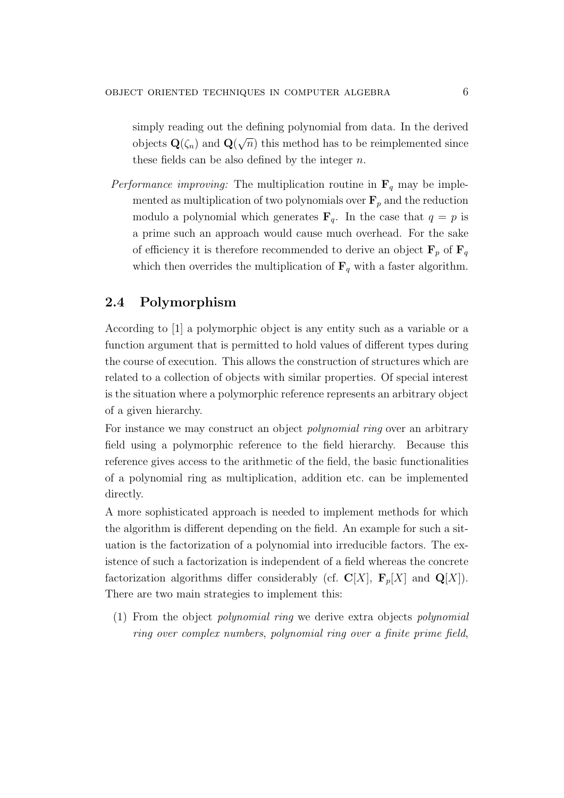simply reading out the defining polynomial from data. In the derived objects  $\mathbf{Q}(\zeta_n)$  and  $\mathbf{Q}(\zeta_n)$ √  $\overline{n}$ ) this method has to be reimplemented since these fields can be also defined by the integer  $n$ .

*Performance improving:* The multiplication routine in  $\mathbf{F}_q$  may be implemented as multiplication of two polynomials over  $\mathbf{F}_p$  and the reduction modulo a polynomial which generates  $\mathbf{F}_q$ . In the case that  $q = p$  is a prime such an approach would cause much overhead. For the sake of efficiency it is therefore recommended to derive an object  $\mathbf{F}_p$  of  $\mathbf{F}_q$ which then overrides the multiplication of  $\mathbf{F}_q$  with a faster algorithm.

### 2.4 Polymorphism

According to [1] a polymorphic object is any entity such as a variable or a function argument that is permitted to hold values of different types during the course of execution. This allows the construction of structures which are related to a collection of objects with similar properties. Of special interest is the situation where a polymorphic reference represents an arbitrary object of a given hierarchy.

For instance we may construct an object *polynomial ring* over an arbitrary field using a polymorphic reference to the field hierarchy. Because this reference gives access to the arithmetic of the field, the basic functionalities of a polynomial ring as multiplication, addition etc. can be implemented directly.

A more sophisticated approach is needed to implement methods for which the algorithm is different depending on the field. An example for such a situation is the factorization of a polynomial into irreducible factors. The existence of such a factorization is independent of a field whereas the concrete factorization algorithms differ considerably (cf.  $\mathbf{C}[X]$ ,  $\mathbf{F}_p[X]$  and  $\mathbf{Q}[X]$ ). There are two main strategies to implement this:

(1) From the object polynomial ring we derive extra objects polynomial ring over complex numbers, polynomial ring over a finite prime field,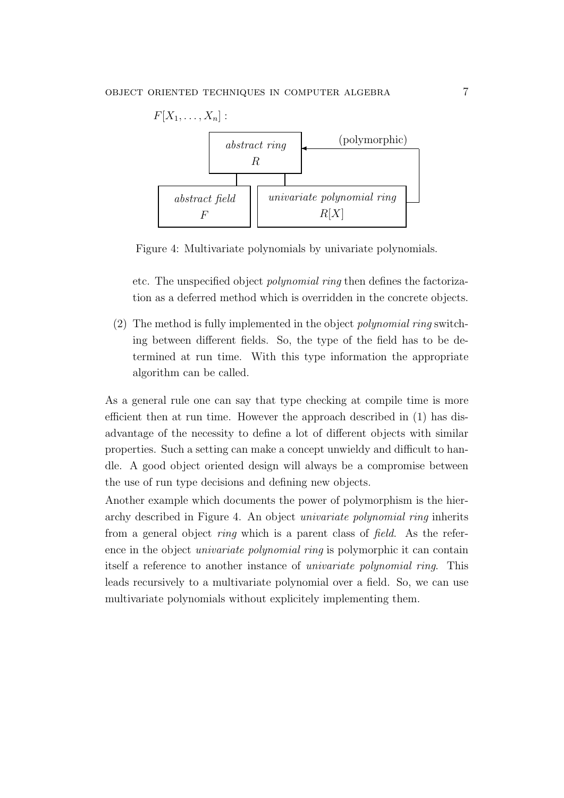

Figure 4: Multivariate polynomials by univariate polynomials.

etc. The unspecified object polynomial ring then defines the factorization as a deferred method which is overridden in the concrete objects.

(2) The method is fully implemented in the object polynomial ring switching between different fields. So, the type of the field has to be determined at run time. With this type information the appropriate algorithm can be called.

As a general rule one can say that type checking at compile time is more efficient then at run time. However the approach described in (1) has disadvantage of the necessity to define a lot of different objects with similar properties. Such a setting can make a concept unwieldy and difficult to handle. A good object oriented design will always be a compromise between the use of run type decisions and defining new objects.

Another example which documents the power of polymorphism is the hierarchy described in Figure 4. An object univariate polynomial ring inherits from a general object *ring* which is a parent class of *field*. As the reference in the object *univariate polynomial ring* is polymorphic it can contain itself a reference to another instance of univariate polynomial ring. This leads recursively to a multivariate polynomial over a field. So, we can use multivariate polynomials without explicitely implementing them.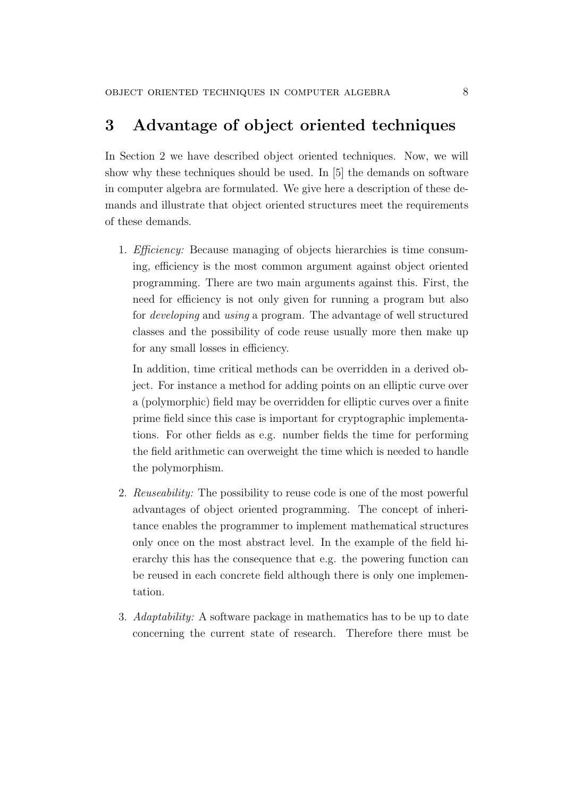## 3 Advantage of object oriented techniques

In Section 2 we have described object oriented techniques. Now, we will show why these techniques should be used. In [5] the demands on software in computer algebra are formulated. We give here a description of these demands and illustrate that object oriented structures meet the requirements of these demands.

1. Efficiency: Because managing of objects hierarchies is time consuming, efficiency is the most common argument against object oriented programming. There are two main arguments against this. First, the need for efficiency is not only given for running a program but also for developing and using a program. The advantage of well structured classes and the possibility of code reuse usually more then make up for any small losses in efficiency.

In addition, time critical methods can be overridden in a derived object. For instance a method for adding points on an elliptic curve over a (polymorphic) field may be overridden for elliptic curves over a finite prime field since this case is important for cryptographic implementations. For other fields as e.g. number fields the time for performing the field arithmetic can overweight the time which is needed to handle the polymorphism.

- 2. Reuseability: The possibility to reuse code is one of the most powerful advantages of object oriented programming. The concept of inheritance enables the programmer to implement mathematical structures only once on the most abstract level. In the example of the field hierarchy this has the consequence that e.g. the powering function can be reused in each concrete field although there is only one implementation.
- 3. Adaptability: A software package in mathematics has to be up to date concerning the current state of research. Therefore there must be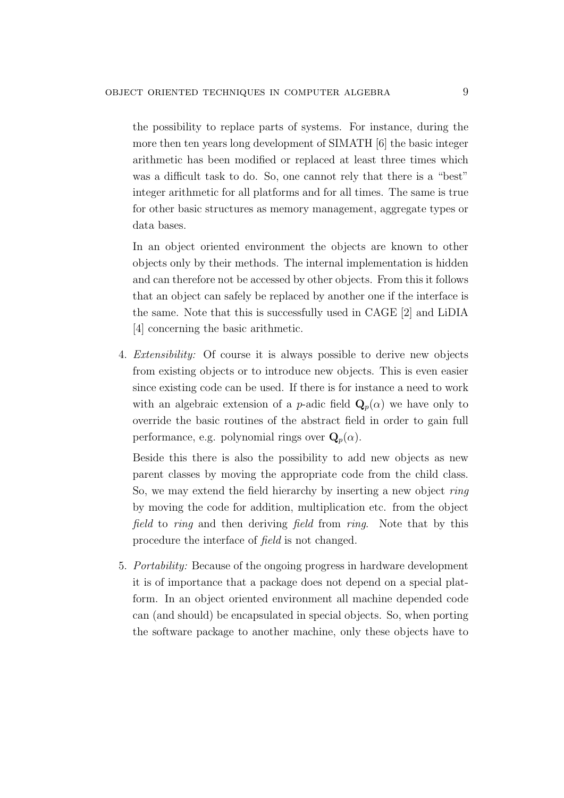the possibility to replace parts of systems. For instance, during the more then ten years long development of SIMATH [6] the basic integer arithmetic has been modified or replaced at least three times which was a difficult task to do. So, one cannot rely that there is a "best" integer arithmetic for all platforms and for all times. The same is true for other basic structures as memory management, aggregate types or data bases.

In an object oriented environment the objects are known to other objects only by their methods. The internal implementation is hidden and can therefore not be accessed by other objects. From this it follows that an object can safely be replaced by another one if the interface is the same. Note that this is successfully used in CAGE [2] and LiDIA [4] concerning the basic arithmetic.

4. Extensibility: Of course it is always possible to derive new objects from existing objects or to introduce new objects. This is even easier since existing code can be used. If there is for instance a need to work with an algebraic extension of a p-adic field  $\mathbf{Q}_p(\alpha)$  we have only to override the basic routines of the abstract field in order to gain full performance, e.g. polynomial rings over  $\mathbf{Q}_p(\alpha)$ .

Beside this there is also the possibility to add new objects as new parent classes by moving the appropriate code from the child class. So, we may extend the field hierarchy by inserting a new object *ring* by moving the code for addition, multiplication etc. from the object field to ring and then deriving field from ring. Note that by this procedure the interface of field is not changed.

5. Portability: Because of the ongoing progress in hardware development it is of importance that a package does not depend on a special platform. In an object oriented environment all machine depended code can (and should) be encapsulated in special objects. So, when porting the software package to another machine, only these objects have to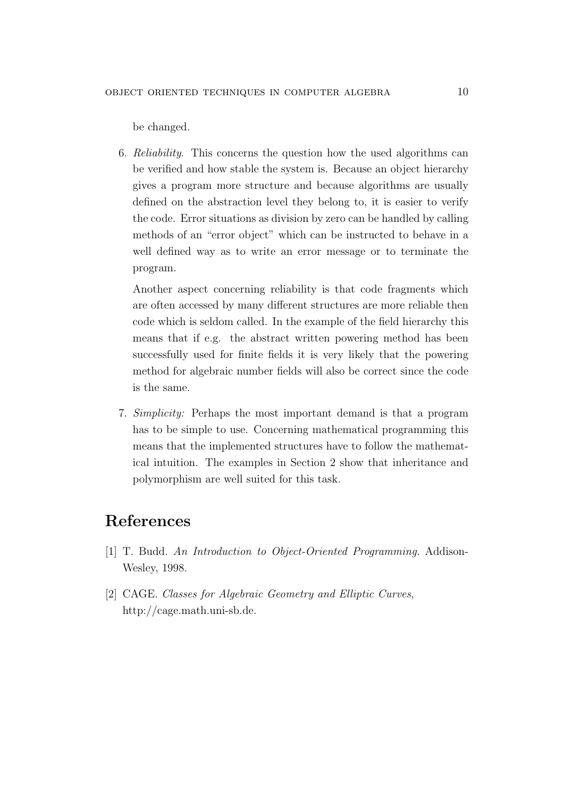be changed.

6. Reliability. This concerns the question how the used algorithms can be verified and how stable the system is. Because an object hierarchy gives a program more structure and because algorithms are usually defined on the abstraction level they belong to, it is easier to verify the code. Error situations as division by zero can be handled by calling methods of an "error object" which can be instructed to behave in a well defined way as to write an error message or to terminate the program.

Another aspect concerning reliability is that code fragments which are often accessed by many different structures are more reliable then code which is seldom called. In the example of the field hierarchy this means that if e.g. the abstract written powering method has been successfully used for finite fields it is very likely that the powering method for algebraic number fields will also be correct since the code is the same.

7. Simplicity: Perhaps the most important demand is that a program has to be simple to use. Concerning mathematical programming this means that the implemented structures have to follow the mathematical intuition. The examples in Section 2 show that inheritance and polymorphism are well suited for this task.

# References

- [1] T. Budd. An Introduction to Object-Oriented Programming. Addison-Wesley, 1998.
- [2] CAGE. Classes for Algebraic Geometry and Elliptic Curves, http://cage.math.uni-sb.de.